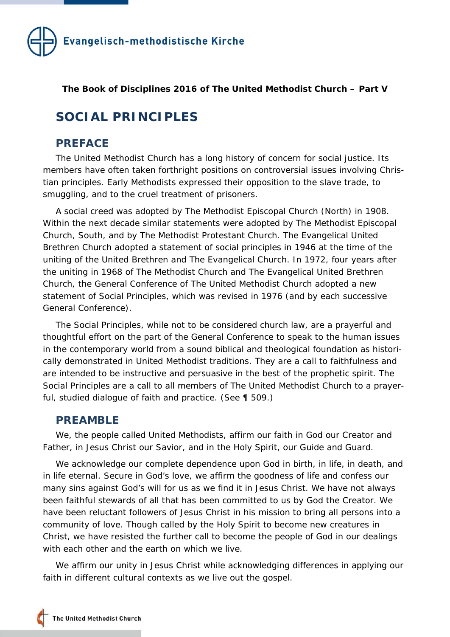**The Book of Disciplines 2016 of The United Methodist Church – Part V** 

# **SOCIAL PRINCIPLES**

#### **PREFACE**

The United Methodist Church has a long history of concern for social justice. Its members have often taken forthright positions on controversial issues involving Christian principles. Early Methodists expressed their opposition to the slave trade, to smuggling, and to the cruel treatment of prisoners.

A social creed was adopted by The Methodist Episcopal Church (North) in 1908. Within the next decade similar statements were adopted by The Methodist Episcopal Church, South, and by The Methodist Protestant Church. The Evangelical United Brethren Church adopted a statement of social principles in 1946 at the time of the uniting of the United Brethren and The Evangelical Church. In 1972, four years after the uniting in 1968 of The Methodist Church and The Evangelical United Brethren Church, the General Conference of The United Methodist Church adopted a new statement of Social Principles, which was revised in 1976 (and by each successive General Conference).

The Social Principles, while not to be considered church law, are a prayerful and thoughtful effort on the part of the General Conference to speak to the human issues in the contemporary world from a sound biblical and theological foundation as historically demonstrated in United Methodist traditions. They are a call to faithfulness and are intended to be instructive and persuasive in the best of the prophetic spirit. The Social Principles are a call to all members of The United Methodist Church to a prayerful, studied dialogue of faith and practice. (See ¶ 509.)

## **PREAMBLE**

We, the people called United Methodists, affirm our faith in God our Creator and Father, in Jesus Christ our Savior, and in the Holy Spirit, our Guide and Guard.

We acknowledge our complete dependence upon God in birth, in life, in death, and in life eternal. Secure in God's love, we affirm the goodness of life and confess our many sins against God's will for us as we find it in Jesus Christ. We have not always been faithful stewards of all that has been committed to us by God the Creator. We have been reluctant followers of Jesus Christ in his mission to bring all persons into a community of love. Though called by the Holy Spirit to become new creatures in Christ, we have resisted the further call to become the people of God in our dealings with each other and the earth on which we live.

We affirm our unity in Jesus Christ while acknowledging differences in applying our faith in different cultural contexts as we live out the gospel.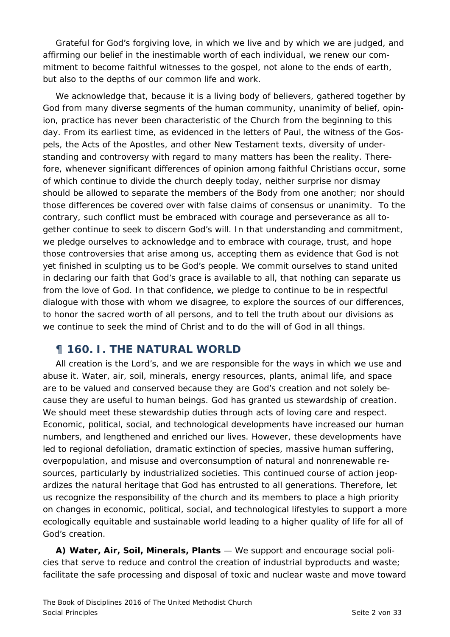Grateful for God's forgiving love, in which we live and by which we are judged, and affirming our belief in the inestimable worth of each individual, we renew our commitment to become faithful witnesses to the gospel, not alone to the ends of earth, but also to the depths of our common life and work.

We acknowledge that, because it is a living body of believers, gathered together by God from many diverse segments of the human community, unanimity of belief, opinion, practice has never been characteristic of the Church from the beginning to this day. From its earliest time, as evidenced in the letters of Paul, the witness of the Gospels, the Acts of the Apostles, and other New Testament texts, diversity of understanding and controversy with regard to many matters has been the reality. Therefore, whenever significant differences of opinion among faithful Christians occur, some of which continue to divide the church deeply today, neither surprise nor dismay should be allowed to separate the members of the Body from one another; nor should those differences be covered over with false claims of consensus or unanimity. To the contrary, such conflict must be embraced with courage and perseverance as all together continue to seek to discern God's will. In that understanding and commitment, we pledge ourselves to acknowledge and to embrace with courage, trust, and hope those controversies that arise among us, accepting them as evidence that God is not yet finished in sculpting us to be God's people. We commit ourselves to stand united in declaring our faith that God's grace is available to all, that nothing can separate us from the love of God. In that confidence, we pledge to continue to be in respectful dialogue with those with whom we disagree, to explore the sources of our differences, to honor the sacred worth of all persons, and to tell the truth about our divisions as we continue to seek the mind of Christ and to do the will of God in all things.

#### **¶ 160. I. THE NATURAL WORLD**

All creation is the Lord's, and we are responsible for the ways in which we use and abuse it. Water, air, soil, minerals, energy resources, plants, animal life, and space are to be valued and conserved because they are God's creation and not solely because they are useful to human beings. God has granted us stewardship of creation. We should meet these stewardship duties through acts of loving care and respect. Economic, political, social, and technological developments have increased our human numbers, and lengthened and enriched our lives. However, these developments have led to regional defoliation, dramatic extinction of species, massive human suffering, overpopulation, and misuse and overconsumption of natural and nonrenewable resources, particularly by industrialized societies. This continued course of action jeopardizes the natural heritage that God has entrusted to all generations. Therefore, let us recognize the responsibility of the church and its members to place a high priority on changes in economic, political, social, and technological lifestyles to support a more ecologically equitable and sustainable world leading to a higher quality of life for all of God's creation.

*A) Water, Air, Soil, Minerals, Plants* — We support and encourage social policies that serve to reduce and control the creation of industrial byproducts and waste; facilitate the safe processing and disposal of toxic and nuclear waste and move toward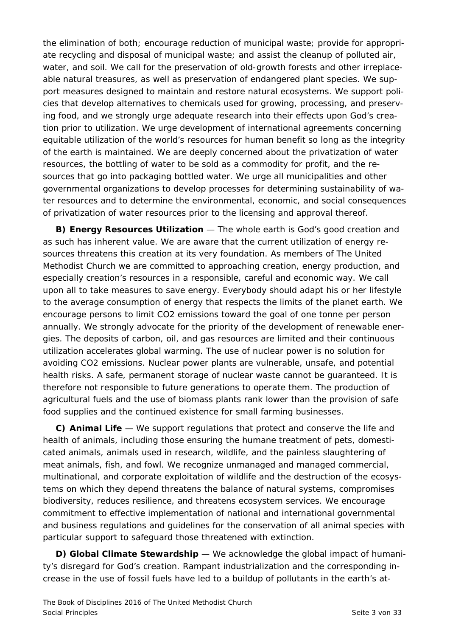the elimination of both; encourage reduction of municipal waste; provide for appropriate recycling and disposal of municipal waste; and assist the cleanup of polluted air, water, and soil. We call for the preservation of old-growth forests and other irreplaceable natural treasures, as well as preservation of endangered plant species. We support measures designed to maintain and restore natural ecosystems. We support policies that develop alternatives to chemicals used for growing, processing, and preserving food, and we strongly urge adequate research into their effects upon God's creation prior to utilization. We urge development of international agreements concerning equitable utilization of the world's resources for human benefit so long as the integrity of the earth is maintained. We are deeply concerned about the privatization of water resources, the bottling of water to be sold as a commodity for profit, and the resources that go into packaging bottled water. We urge all municipalities and other governmental organizations to develop processes for determining sustainability of water resources and to determine the environmental, economic, and social consequences of privatization of water resources prior to the licensing and approval thereof.

**B) Energy Resources Utilization** — The whole earth is God's good creation and as such has inherent value. We are aware that the current utilization of energy resources threatens this creation at its very foundation. As members of The United Methodist Church we are committed to approaching creation, energy production, and especially creation's resources in a responsible, careful and economic way. We call upon all to take measures to save energy. Everybody should adapt his or her lifestyle to the average consumption of energy that respects the limits of the planet earth. We encourage persons to limit CO2 emissions toward the goal of one tonne per person annually. We strongly advocate for the priority of the development of renewable energies. The deposits of carbon, oil, and gas resources are limited and their continuous utilization accelerates global warming. The use of nuclear power is no solution for avoiding CO2 emissions. Nuclear power plants are vulnerable, unsafe, and potential health risks. A safe, permanent storage of nuclear waste cannot be guaranteed. It is therefore not responsible to future generations to operate them. The production of agricultural fuels and the use of biomass plants rank lower than the provision of safe food supplies and the continued existence for small farming businesses.

*C) Animal Life* — We support regulations that protect and conserve the life and health of animals, including those ensuring the humane treatment of pets, domesticated animals, animals used in research, wildlife, and the painless slaughtering of meat animals, fish, and fowl. We recognize unmanaged and managed commercial, multinational, and corporate exploitation of wildlife and the destruction of the ecosystems on which they depend threatens the balance of natural systems, compromises biodiversity, reduces resilience, and threatens ecosystem services. We encourage commitment to effective implementation of national and international governmental and business regulations and guidelines for the conservation of all animal species with particular support to safeguard those threatened with extinction.

*D) Global Climate Stewardship* — We acknowledge the global impact of humanity's disregard for God's creation. Rampant industrialization and the corresponding increase in the use of fossil fuels have led to a buildup of pollutants in the earth's at-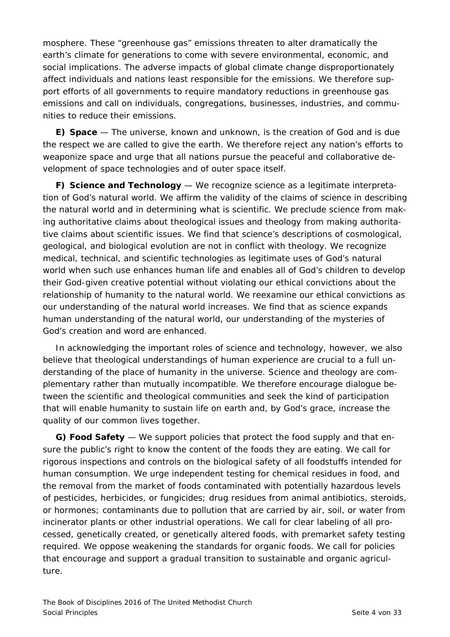mosphere. These "greenhouse gas" emissions threaten to alter dramatically the earth's climate for generations to come with severe environmental, economic, and social implications. The adverse impacts of global climate change disproportionately affect individuals and nations least responsible for the emissions. We therefore support efforts of all governments to require mandatory reductions in greenhouse gas emissions and call on individuals, congregations, businesses, industries, and communities to reduce their emissions.

*E) Space* — The universe, known and unknown, is the creation of God and is due the respect we are called to give the earth. We therefore reject any nation's efforts to weaponize space and urge that all nations pursue the peaceful and collaborative development of space technologies and of outer space itself.

*F) Science and Technology* — We recognize science as a legitimate interpretation of God's natural world. We affirm the validity of the claims of science in describing the natural world and in determining what is scientific. We preclude science from making authoritative claims about theological issues and theology from making authoritative claims about scientific issues. We find that science's descriptions of cosmological, geological, and biological evolution are not in conflict with theology. We recognize medical, technical, and scientific technologies as legitimate uses of God's natural world when such use enhances human life and enables all of God's children to develop their God-given creative potential without violating our ethical convictions about the relationship of humanity to the natural world. We reexamine our ethical convictions as our understanding of the natural world increases. We find that as science expands human understanding of the natural world, our understanding of the mysteries of God's creation and word are enhanced.

In acknowledging the important roles of science and technology, however, we also believe that theological understandings of human experience are crucial to a full understanding of the place of humanity in the universe. Science and theology are complementary rather than mutually incompatible. We therefore encourage dialogue between the scientific and theological communities and seek the kind of participation that will enable humanity to sustain life on earth and, by God's grace, increase the quality of our common lives together.

*G) Food Safety* — We support policies that protect the food supply and that ensure the public's right to know the content of the foods they are eating. We call for rigorous inspections and controls on the biological safety of all foodstuffs intended for human consumption. We urge independent testing for chemical residues in food, and the removal from the market of foods contaminated with potentially hazardous levels of pesticides, herbicides, or fungicides; drug residues from animal antibiotics, steroids, or hormones; contaminants due to pollution that are carried by air, soil, or water from incinerator plants or other industrial operations. We call for clear labeling of all processed, genetically created, or genetically altered foods, with premarket safety testing required. We oppose weakening the standards for organic foods. We call for policies that encourage and support a gradual transition to sustainable and organic agriculture.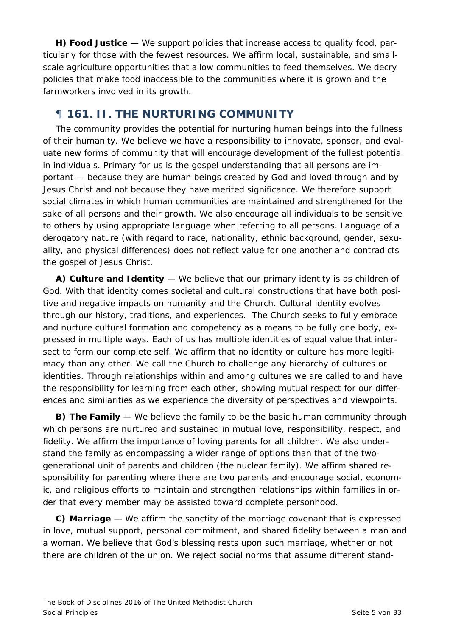*H) Food Justice* — We support policies that increase access to quality food, particularly for those with the fewest resources. We affirm local, sustainable, and smallscale agriculture opportunities that allow communities to feed themselves. We decry policies that make food inaccessible to the communities where it is grown and the farmworkers involved in its growth.

#### **¶ 161. II. THE NURTURING COMMUNITY**

The community provides the potential for nurturing human beings into the fullness of their humanity. We believe we have a responsibility to innovate, sponsor, and evaluate new forms of community that will encourage development of the fullest potential in individuals. Primary for us is the gospel understanding that all persons are important — because they are human beings created by God and loved through and by Jesus Christ and not because they have merited significance. We therefore support social climates in which human communities are maintained and strengthened for the sake of all persons and their growth. We also encourage all individuals to be sensitive to others by using appropriate language when referring to all persons. Language of a derogatory nature (with regard to race, nationality, ethnic background, gender, sexuality, and physical differences) does not reflect value for one another and contradicts the gospel of Jesus Christ.

*A) Culture and Identity* — We believe that our primary identity is as children of God. With that identity comes societal and cultural constructions that have both positive and negative impacts on humanity and the Church. Cultural identity evolves through our history, traditions, and experiences. The Church seeks to fully embrace and nurture cultural formation and competency as a means to be fully one body, expressed in multiple ways. Each of us has multiple identities of equal value that intersect to form our complete self. We affirm that no identity or culture has more legitimacy than any other. We call the Church to challenge any hierarchy of cultures or identities. Through relationships within and among cultures we are called to and have the responsibility for learning from each other, showing mutual respect for our differences and similarities as we experience the diversity of perspectives and viewpoints.

**B) The Family** — We believe the family to be the basic human community through which persons are nurtured and sustained in mutual love, responsibility, respect, and fidelity. We affirm the importance of loving parents for all children. We also understand the family as encompassing a wider range of options than that of the twogenerational unit of parents and children (the nuclear family). We affirm shared responsibility for parenting where there are two parents and encourage social, economic, and religious efforts to maintain and strengthen relationships within families in order that every member may be assisted toward complete personhood.

*C) Marriage* — We affirm the sanctity of the marriage covenant that is expressed in love, mutual support, personal commitment, and shared fidelity between a man and a woman. We believe that God's blessing rests upon such marriage, whether or not there are children of the union. We reject social norms that assume different stand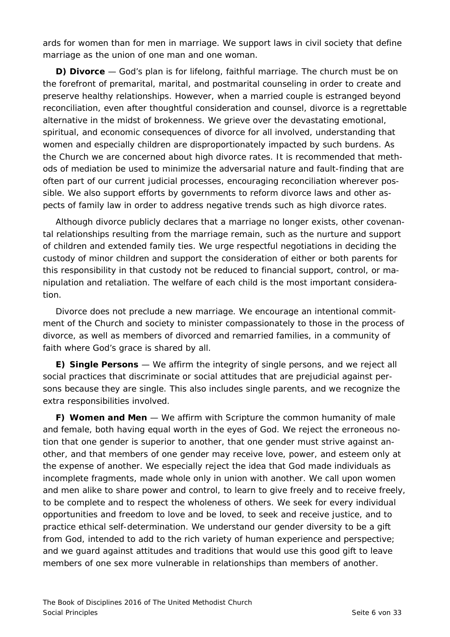ards for women than for men in marriage. We support laws in civil society that define marriage as the union of one man and one woman.

**D) Divorce** — God's plan is for lifelong, faithful marriage. The church must be on the forefront of premarital, marital, and postmarital counseling in order to create and preserve healthy relationships. However, when a married couple is estranged beyond reconciliation, even after thoughtful consideration and counsel, divorce is a regrettable alternative in the midst of brokenness. We grieve over the devastating emotional, spiritual, and economic consequences of divorce for all involved, understanding that women and especially children are disproportionately impacted by such burdens. As the Church we are concerned about high divorce rates. It is recommended that methods of mediation be used to minimize the adversarial nature and fault-finding that are often part of our current judicial processes, encouraging reconciliation wherever possible. We also support efforts by governments to reform divorce laws and other aspects of family law in order to address negative trends such as high divorce rates.

Although divorce publicly declares that a marriage no longer exists, other covenantal relationships resulting from the marriage remain, such as the nurture and support of children and extended family ties. We urge respectful negotiations in deciding the custody of minor children and support the consideration of either or both parents for this responsibility in that custody not be reduced to financial support, control, or manipulation and retaliation. The welfare of each child is the most important consideration.

Divorce does not preclude a new marriage. We encourage an intentional commitment of the Church and society to minister compassionately to those in the process of divorce, as well as members of divorced and remarried families, in a community of faith where God's grace is shared by all.

*E) Single Persons* — We affirm the integrity of single persons, and we reject all social practices that discriminate or social attitudes that are prejudicial against persons because they are single. This also includes single parents, and we recognize the extra responsibilities involved.

**F) Women and Men** — We affirm with Scripture the common humanity of male and female, both having equal worth in the eyes of God. We reject the erroneous notion that one gender is superior to another, that one gender must strive against another, and that members of one gender may receive love, power, and esteem only at the expense of another. We especially reject the idea that God made individuals as incomplete fragments, made whole only in union with another. We call upon women and men alike to share power and control, to learn to give freely and to receive freely, to be complete and to respect the wholeness of others. We seek for every individual opportunities and freedom to love and be loved, to seek and receive justice, and to practice ethical self-determination. We understand our gender diversity to be a gift from God, intended to add to the rich variety of human experience and perspective; and we guard against attitudes and traditions that would use this good gift to leave members of one sex more vulnerable in relationships than members of another.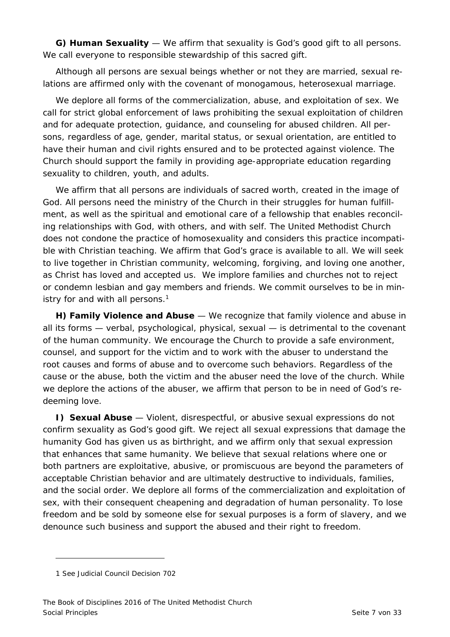*G) Human Sexuality* — We affirm that sexuality is God's good gift to all persons. We call everyone to responsible stewardship of this sacred gift.

Although all persons are sexual beings whether or not they are married, sexual relations are affirmed only with the covenant of monogamous, heterosexual marriage.

We deplore all forms of the commercialization, abuse, and exploitation of sex. We call for strict global enforcement of laws prohibiting the sexual exploitation of children and for adequate protection, guidance, and counseling for abused children. All persons, regardless of age, gender, marital status, or sexual orientation, are entitled to have their human and civil rights ensured and to be protected against violence. The Church should support the family in providing age-appropriate education regarding sexuality to children, youth, and adults.

We affirm that all persons are individuals of sacred worth, created in the image of God. All persons need the ministry of the Church in their struggles for human fulfillment, as well as the spiritual and emotional care of a fellowship that enables reconciling relationships with God, with others, and with self. The United Methodist Church does not condone the practice of homosexuality and considers this practice incompatible with Christian teaching. We affirm that God's grace is available to all. We will seek to live together in Christian community, welcoming, forgiving, and loving one another, as Christ has loved and accepted us. We implore families and churches not to reject or condemn lesbian and gay members and friends. We commit ourselves to be in ministry for and with all persons. $1$ 

*H) Family Violence and Abuse* — We recognize that family violence and abuse in all its forms — verbal, psychological, physical, sexual — is detrimental to the covenant of the human community. We encourage the Church to provide a safe environment, counsel, and support for the victim and to work with the abuser to understand the root causes and forms of abuse and to overcome such behaviors. Regardless of the cause or the abuse, both the victim and the abuser need the love of the church. While we deplore the actions of the abuser, we affirm that person to be in need of God's redeeming love.

*I) Sexual Abuse* — Violent, disrespectful, or abusive sexual expressions do not confirm sexuality as God's good gift. We reject all sexual expressions that damage the humanity God has given us as birthright, and we affirm only that sexual expression that enhances that same humanity. We believe that sexual relations where one or both partners are exploitative, abusive, or promiscuous are beyond the parameters of acceptable Christian behavior and are ultimately destructive to individuals, families, and the social order. We deplore all forms of the commercialization and exploitation of sex, with their consequent cheapening and degradation of human personality. To lose freedom and be sold by someone else for sexual purposes is a form of slavery, and we denounce such business and support the abused and their right to freedom.

j

<sup>1</sup> See Judicial Council Decision 702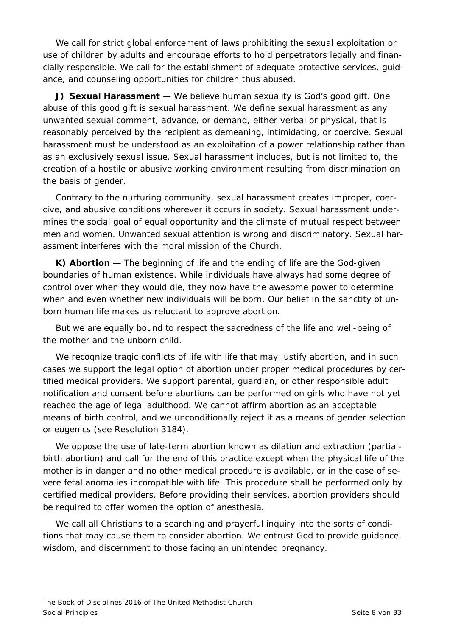We call for strict global enforcement of laws prohibiting the sexual exploitation or use of children by adults and encourage efforts to hold perpetrators legally and financially responsible. We call for the establishment of adequate protective services, guidance, and counseling opportunities for children thus abused.

*J) Sexual Harassment* — We believe human sexuality is God's good gift. One abuse of this good gift is sexual harassment. We define sexual harassment as any unwanted sexual comment, advance, or demand, either verbal or physical, that is reasonably perceived by the recipient as demeaning, intimidating, or coercive. Sexual harassment must be understood as an exploitation of a power relationship rather than as an exclusively sexual issue. Sexual harassment includes, but is not limited to, the creation of a hostile or abusive working environment resulting from discrimination on the basis of gender.

Contrary to the nurturing community, sexual harassment creates improper, coercive, and abusive conditions wherever it occurs in society. Sexual harassment undermines the social goal of equal opportunity and the climate of mutual respect between men and women. Unwanted sexual attention is wrong and discriminatory. Sexual harassment interferes with the moral mission of the Church.

*K) Abortion* — The beginning of life and the ending of life are the God-given boundaries of human existence. While individuals have always had some degree of control over when they would die, they now have the awesome power to determine when and even whether new individuals will be born. Our belief in the sanctity of unborn human life makes us reluctant to approve abortion.

But we are equally bound to respect the sacredness of the life and well-being of the mother and the unborn child.

We recognize tragic conflicts of life with life that may justify abortion, and in such cases we support the legal option of abortion under proper medical procedures by certified medical providers. We support parental, guardian, or other responsible adult notification and consent before abortions can be performed on girls who have not yet reached the age of legal adulthood. We cannot affirm abortion as an acceptable means of birth control, and we unconditionally reject it as a means of gender selection or eugenics (see Resolution 3184).

We oppose the use of late-term abortion known as dilation and extraction (partialbirth abortion) and call for the end of this practice except when the physical life of the mother is in danger and no other medical procedure is available, or in the case of severe fetal anomalies incompatible with life. This procedure shall be performed only by certified medical providers. Before providing their services, abortion providers should be required to offer women the option of anesthesia.

We call all Christians to a searching and prayerful inquiry into the sorts of conditions that may cause them to consider abortion. We entrust God to provide guidance, wisdom, and discernment to those facing an unintended pregnancy.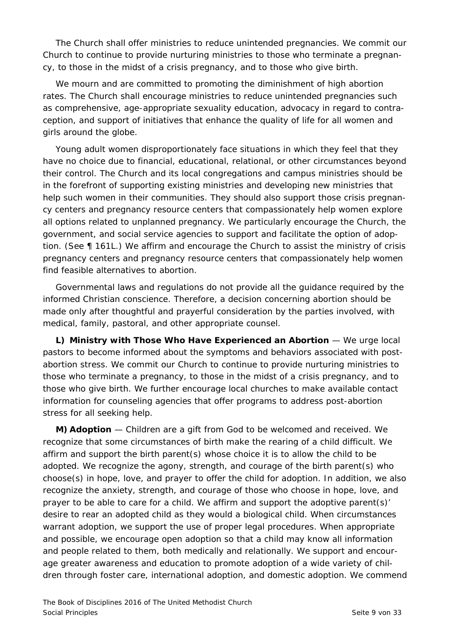The Church shall offer ministries to reduce unintended pregnancies. We commit our Church to continue to provide nurturing ministries to those who terminate a pregnancy, to those in the midst of a crisis pregnancy, and to those who give birth.

We mourn and are committed to promoting the diminishment of high abortion rates. The Church shall encourage ministries to reduce unintended pregnancies such as comprehensive, age-appropriate sexuality education, advocacy in regard to contraception, and support of initiatives that enhance the quality of life for all women and girls around the globe.

Young adult women disproportionately face situations in which they feel that they have no choice due to financial, educational, relational, or other circumstances beyond their control. The Church and its local congregations and campus ministries should be in the forefront of supporting existing ministries and developing new ministries that help such women in their communities. They should also support those crisis pregnancy centers and pregnancy resource centers that compassionately help women explore all options related to unplanned pregnancy. We particularly encourage the Church, the government, and social service agencies to support and facilitate the option of adoption. (See ¶ 161L.) We affirm and encourage the Church to assist the ministry of crisis pregnancy centers and pregnancy resource centers that compassionately help women find feasible alternatives to abortion.

Governmental laws and regulations do not provide all the guidance required by the informed Christian conscience. Therefore, a decision concerning abortion should be made only after thoughtful and prayerful consideration by the parties involved, with medical, family, pastoral, and other appropriate counsel.

*L) Ministry with Those Who Have Experienced an Abortion* — We urge local pastors to become informed about the symptoms and behaviors associated with postabortion stress. We commit our Church to continue to provide nurturing ministries to those who terminate a pregnancy, to those in the midst of a crisis pregnancy, and to those who give birth. We further encourage local churches to make available contact information for counseling agencies that offer programs to address post-abortion stress for all seeking help.

*M) Adoption* — Children are a gift from God to be welcomed and received. We recognize that some circumstances of birth make the rearing of a child difficult. We affirm and support the birth parent(s) whose choice it is to allow the child to be adopted. We recognize the agony, strength, and courage of the birth parent(s) who choose(s) in hope, love, and prayer to offer the child for adoption. In addition, we also recognize the anxiety, strength, and courage of those who choose in hope, love, and prayer to be able to care for a child. We affirm and support the adoptive parent(s)' desire to rear an adopted child as they would a biological child. When circumstances warrant adoption, we support the use of proper legal procedures. When appropriate and possible, we encourage open adoption so that a child may know all information and people related to them, both medically and relationally. We support and encourage greater awareness and education to promote adoption of a wide variety of children through foster care, international adoption, and domestic adoption. We commend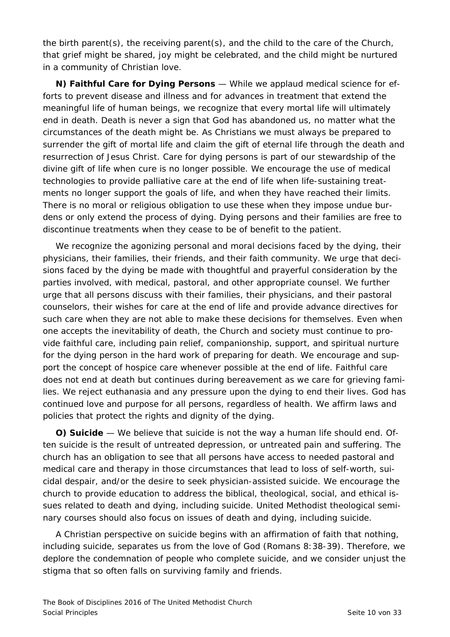the birth parent(s), the receiving parent(s), and the child to the care of the Church, that grief might be shared, joy might be celebrated, and the child might be nurtured in a community of Christian love.

*N) Faithful Care for Dying Persons* — While we applaud medical science for efforts to prevent disease and illness and for advances in treatment that extend the meaningful life of human beings, we recognize that every mortal life will ultimately end in death. Death is never a sign that God has abandoned us, no matter what the circumstances of the death might be. As Christians we must always be prepared to surrender the gift of mortal life and claim the gift of eternal life through the death and resurrection of Jesus Christ. Care for dying persons is part of our stewardship of the divine gift of life when cure is no longer possible. We encourage the use of medical technologies to provide palliative care at the end of life when life-sustaining treatments no longer support the goals of life, and when they have reached their limits. There is no moral or religious obligation to use these when they impose undue burdens or only extend the process of dying. Dying persons and their families are free to discontinue treatments when they cease to be of benefit to the patient.

We recognize the agonizing personal and moral decisions faced by the dying, their physicians, their families, their friends, and their faith community. We urge that decisions faced by the dying be made with thoughtful and prayerful consideration by the parties involved, with medical, pastoral, and other appropriate counsel. We further urge that all persons discuss with their families, their physicians, and their pastoral counselors, their wishes for care at the end of life and provide advance directives for such care when they are not able to make these decisions for themselves. Even when one accepts the inevitability of death, the Church and society must continue to provide faithful care, including pain relief, companionship, support, and spiritual nurture for the dying person in the hard work of preparing for death. We encourage and support the concept of hospice care whenever possible at the end of life. Faithful care does not end at death but continues during bereavement as we care for grieving families. We reject euthanasia and any pressure upon the dying to end their lives. God has continued love and purpose for all persons, regardless of health. We affirm laws and policies that protect the rights and dignity of the dying.

*O) Suicide* — We believe that suicide is not the way a human life should end. Often suicide is the result of untreated depression, or untreated pain and suffering. The church has an obligation to see that all persons have access to needed pastoral and medical care and therapy in those circumstances that lead to loss of self-worth, suicidal despair, and/or the desire to seek physician-assisted suicide. We encourage the church to provide education to address the biblical, theological, social, and ethical issues related to death and dying, including suicide. United Methodist theological seminary courses should also focus on issues of death and dying, including suicide.

A Christian perspective on suicide begins with an affirmation of faith that nothing, including suicide, separates us from the love of God (Romans 8:38-39). Therefore, we deplore the condemnation of people who complete suicide, and we consider unjust the stigma that so often falls on surviving family and friends.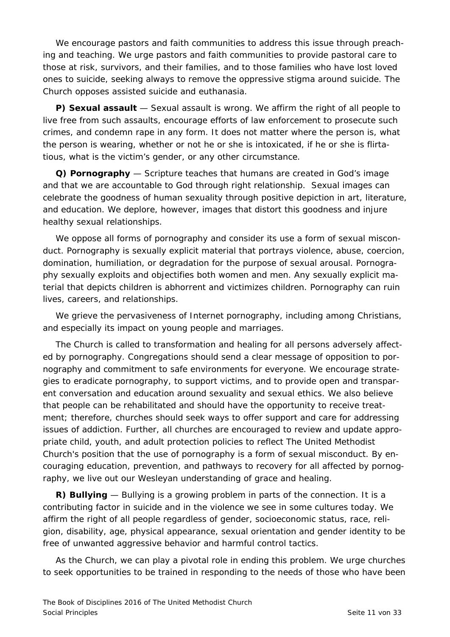We encourage pastors and faith communities to address this issue through preaching and teaching. We urge pastors and faith communities to provide pastoral care to those at risk, survivors, and their families, and to those families who have lost loved ones to suicide, seeking always to remove the oppressive stigma around suicide. The Church opposes assisted suicide and euthanasia.

**P) Sexual assault** – Sexual assault is wrong. We affirm the right of all people to live free from such assaults, encourage efforts of law enforcement to prosecute such crimes, and condemn rape in any form. It does not matter where the person is, what the person is wearing, whether or not he or she is intoxicated, if he or she is flirtatious, what is the victim's gender, or any other circumstance.

**Q) Pornography** – Scripture teaches that humans are created in God's image and that we are accountable to God through right relationship. Sexual images can celebrate the goodness of human sexuality through positive depiction in art, literature, and education. We deplore, however, images that distort this goodness and injure healthy sexual relationships.

We oppose all forms of pornography and consider its use a form of sexual misconduct. Pornography is sexually explicit material that portrays violence, abuse, coercion, domination, humiliation, or degradation for the purpose of sexual arousal. Pornography sexually exploits and objectifies both women and men. Any sexually explicit material that depicts children is abhorrent and victimizes children. Pornography can ruin lives, careers, and relationships.

We grieve the pervasiveness of Internet pornography, including among Christians, and especially its impact on young people and marriages.

The Church is called to transformation and healing for all persons adversely affected by pornography. Congregations should send a clear message of opposition to pornography and commitment to safe environments for everyone. We encourage strategies to eradicate pornography, to support victims, and to provide open and transparent conversation and education around sexuality and sexual ethics. We also believe that people can be rehabilitated and should have the opportunity to receive treatment; therefore, churches should seek ways to offer support and care for addressing issues of addiction. Further, all churches are encouraged to review and update appropriate child, youth, and adult protection policies to reflect The United Methodist Church's position that the use of pornography is a form of sexual misconduct. By encouraging education, prevention, and pathways to recovery for all affected by pornography, we live out our Wesleyan understanding of grace and healing.

*R)* Bullying – Bullying is a growing problem in parts of the connection. It is a contributing factor in suicide and in the violence we see in some cultures today. We affirm the right of all people regardless of gender, socioeconomic status, race, religion, disability, age, physical appearance, sexual orientation and gender identity to be free of unwanted aggressive behavior and harmful control tactics.

As the Church, we can play a pivotal role in ending this problem. We urge churches to seek opportunities to be trained in responding to the needs of those who have been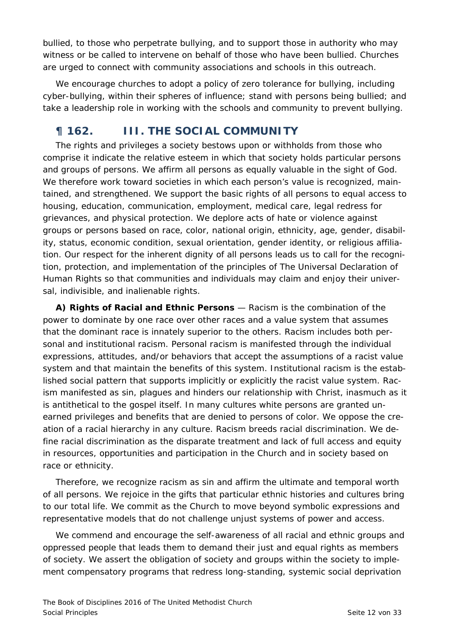bullied, to those who perpetrate bullying, and to support those in authority who may witness or be called to intervene on behalf of those who have been bullied. Churches are urged to connect with community associations and schools in this outreach.

We encourage churches to adopt a policy of zero tolerance for bullying, including cyber-bullying, within their spheres of influence; stand with persons being bullied; and take a leadership role in working with the schools and community to prevent bullying.

## **¶ 162. III. THE SOCIAL COMMUNITY**

The rights and privileges a society bestows upon or withholds from those who comprise it indicate the relative esteem in which that society holds particular persons and groups of persons. We affirm all persons as equally valuable in the sight of God. We therefore work toward societies in which each person's value is recognized, maintained, and strengthened. We support the basic rights of all persons to equal access to housing, education, communication, employment, medical care, legal redress for grievances, and physical protection. We deplore acts of hate or violence against groups or persons based on race, color, national origin, ethnicity, age, gender, disability, status, economic condition, sexual orientation, gender identity, or religious affiliation. Our respect for the inherent dignity of all persons leads us to call for the recognition, protection, and implementation of the principles of The Universal Declaration of Human Rights so that communities and individuals may claim and enjoy their universal, indivisible, and inalienable rights.

*A) Rights of Racial and Ethnic Persons* — Racism is the combination of the power to dominate by one race over other races and a value system that assumes that the dominant race is innately superior to the others. Racism includes both personal and institutional racism. Personal racism is manifested through the individual expressions, attitudes, and/or behaviors that accept the assumptions of a racist value system and that maintain the benefits of this system. Institutional racism is the established social pattern that supports implicitly or explicitly the racist value system. Racism manifested as sin, plagues and hinders our relationship with Christ, inasmuch as it is antithetical to the gospel itself. In many cultures white persons are granted unearned privileges and benefits that are denied to persons of color. We oppose the creation of a racial hierarchy in any culture. Racism breeds racial discrimination. We define racial discrimination as the disparate treatment and lack of full access and equity in resources, opportunities and participation in the Church and in society based on race or ethnicity.

Therefore, we recognize racism as sin and affirm the ultimate and temporal worth of all persons. We rejoice in the gifts that particular ethnic histories and cultures bring to our total life. We commit as the Church to move beyond symbolic expressions and representative models that do not challenge unjust systems of power and access.

We commend and encourage the self-awareness of all racial and ethnic groups and oppressed people that leads them to demand their just and equal rights as members of society. We assert the obligation of society and groups within the society to implement compensatory programs that redress long-standing, systemic social deprivation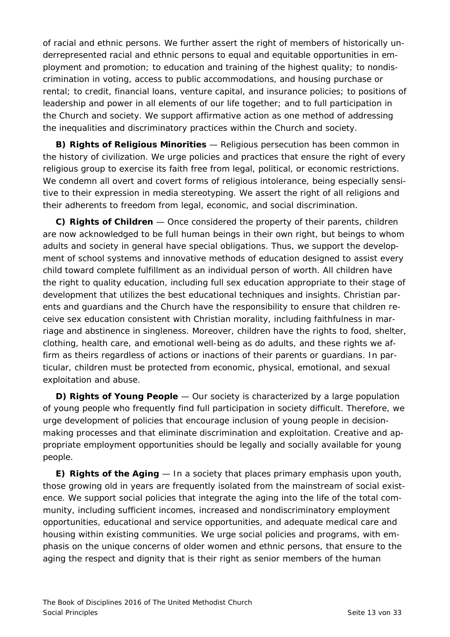of racial and ethnic persons. We further assert the right of members of historically underrepresented racial and ethnic persons to equal and equitable opportunities in employment and promotion; to education and training of the highest quality; to nondiscrimination in voting, access to public accommodations, and housing purchase or rental; to credit, financial loans, venture capital, and insurance policies; to positions of leadership and power in all elements of our life together; and to full participation in the Church and society. We support affirmative action as one method of addressing the inequalities and discriminatory practices within the Church and society.

*B) Rights of Religious Minorities* — Religious persecution has been common in the history of civilization. We urge policies and practices that ensure the right of every religious group to exercise its faith free from legal, political, or economic restrictions. We condemn all overt and covert forms of religious intolerance, being especially sensitive to their expression in media stereotyping. We assert the right of all religions and their adherents to freedom from legal, economic, and social discrimination.

*C) Rights of Children* — Once considered the property of their parents, children are now acknowledged to be full human beings in their own right, but beings to whom adults and society in general have special obligations. Thus, we support the development of school systems and innovative methods of education designed to assist every child toward complete fulfillment as an individual person of worth. All children have the right to quality education, including full sex education appropriate to their stage of development that utilizes the best educational techniques and insights. Christian parents and guardians and the Church have the responsibility to ensure that children receive sex education consistent with Christian morality, including faithfulness in marriage and abstinence in singleness. Moreover, children have the rights to food, shelter, clothing, health care, and emotional well-being as do adults, and these rights we affirm as theirs regardless of actions or inactions of their parents or guardians. In particular, children must be protected from economic, physical, emotional, and sexual exploitation and abuse.

*D) Rights of Young People* — Our society is characterized by a large population of young people who frequently find full participation in society difficult. Therefore, we urge development of policies that encourage inclusion of young people in decisionmaking processes and that eliminate discrimination and exploitation. Creative and appropriate employment opportunities should be legally and socially available for young people.

*E) Rights of the Aging* — In a society that places primary emphasis upon youth, those growing old in years are frequently isolated from the mainstream of social existence. We support social policies that integrate the aging into the life of the total community, including sufficient incomes, increased and nondiscriminatory employment opportunities, educational and service opportunities, and adequate medical care and housing within existing communities. We urge social policies and programs, with emphasis on the unique concerns of older women and ethnic persons, that ensure to the aging the respect and dignity that is their right as senior members of the human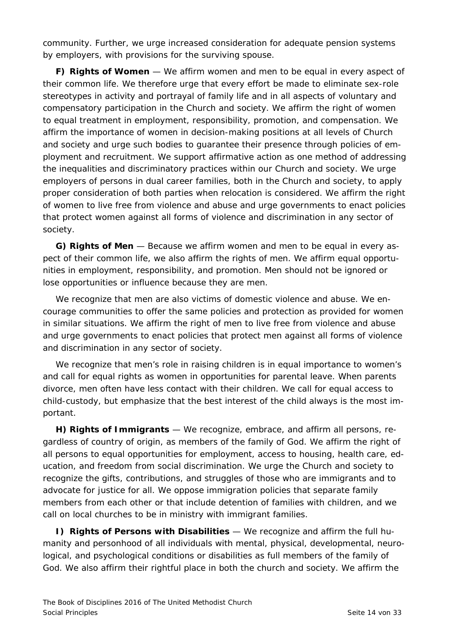community. Further, we urge increased consideration for adequate pension systems by employers, with provisions for the surviving spouse.

*F) Rights of Women* — We affirm women and men to be equal in every aspect of their common life. We therefore urge that every effort be made to eliminate sex-role stereotypes in activity and portrayal of family life and in all aspects of voluntary and compensatory participation in the Church and society. We affirm the right of women to equal treatment in employment, responsibility, promotion, and compensation. We affirm the importance of women in decision-making positions at all levels of Church and society and urge such bodies to guarantee their presence through policies of employment and recruitment. We support affirmative action as one method of addressing the inequalities and discriminatory practices within our Church and society. We urge employers of persons in dual career families, both in the Church and society, to apply proper consideration of both parties when relocation is considered. We affirm the right of women to live free from violence and abuse and urge governments to enact policies that protect women against all forms of violence and discrimination in any sector of society.

*G) Rights of Men* — Because we affirm women and men to be equal in every aspect of their common life, we also affirm the rights of men. We affirm equal opportunities in employment, responsibility, and promotion. Men should not be ignored or lose opportunities or influence because they are men.

We recognize that men are also victims of domestic violence and abuse. We encourage communities to offer the same policies and protection as provided for women in similar situations. We affirm the right of men to live free from violence and abuse and urge governments to enact policies that protect men against all forms of violence and discrimination in any sector of society.

We recognize that men's role in raising children is in equal importance to women's and call for equal rights as women in opportunities for parental leave. When parents divorce, men often have less contact with their children. We call for equal access to child-custody, but emphasize that the best interest of the child always is the most important.

*H) Rights of Immigrants* — We recognize, embrace, and affirm all persons, regardless of country of origin, as members of the family of God. We affirm the right of all persons to equal opportunities for employment, access to housing, health care, education, and freedom from social discrimination. We urge the Church and society to recognize the gifts, contributions, and struggles of those who are immigrants and to advocate for justice for all. We oppose immigration policies that separate family members from each other or that include detention of families with children, and we call on local churches to be in ministry with immigrant families.

*I) Rights of Persons with Disabilities* — We recognize and affirm the full humanity and personhood of all individuals with mental, physical, developmental, neurological, and psychological conditions or disabilities as full members of the family of God. We also affirm their rightful place in both the church and society. We affirm the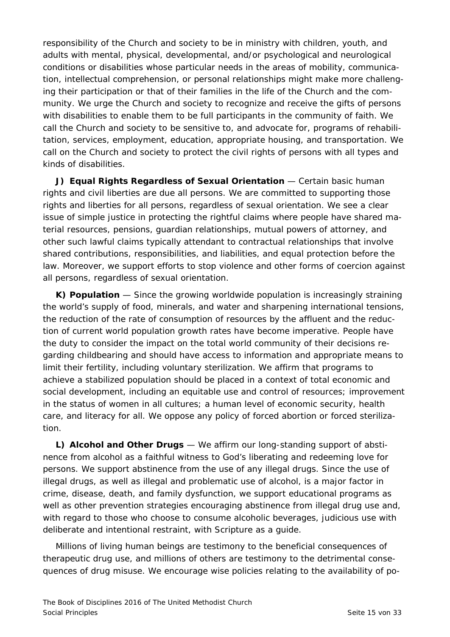responsibility of the Church and society to be in ministry with children, youth, and adults with mental, physical, developmental, and/or psychological and neurological conditions or disabilities whose particular needs in the areas of mobility, communication, intellectual comprehension, or personal relationships might make more challenging their participation or that of their families in the life of the Church and the community. We urge the Church and society to recognize and receive the gifts of persons with disabilities to enable them to be full participants in the community of faith. We call the Church and society to be sensitive to, and advocate for, programs of rehabilitation, services, employment, education, appropriate housing, and transportation. We call on the Church and society to protect the civil rights of persons with all types and kinds of disabilities.

*J) Equal Rights Regardless of Sexual Orientation* — Certain basic human rights and civil liberties are due all persons. We are committed to supporting those rights and liberties for all persons, regardless of sexual orientation. We see a clear issue of simple justice in protecting the rightful claims where people have shared material resources, pensions, guardian relationships, mutual powers of attorney, and other such lawful claims typically attendant to contractual relationships that involve shared contributions, responsibilities, and liabilities, and equal protection before the law. Moreover, we support efforts to stop violence and other forms of coercion against all persons, regardless of sexual orientation.

*K) Population* — Since the growing worldwide population is increasingly straining the world's supply of food, minerals, and water and sharpening international tensions, the reduction of the rate of consumption of resources by the affluent and the reduction of current world population growth rates have become imperative. People have the duty to consider the impact on the total world community of their decisions regarding childbearing and should have access to information and appropriate means to limit their fertility, including voluntary sterilization. We affirm that programs to achieve a stabilized population should be placed in a context of total economic and social development, including an equitable use and control of resources; improvement in the status of women in all cultures; a human level of economic security, health care, and literacy for all. We oppose any policy of forced abortion or forced sterilization.

*L) Alcohol and Other Drugs* — We affirm our long-standing support of abstinence from alcohol as a faithful witness to God's liberating and redeeming love for persons. We support abstinence from the use of any illegal drugs. Since the use of illegal drugs, as well as illegal and problematic use of alcohol, is a major factor in crime, disease, death, and family dysfunction, we support educational programs as well as other prevention strategies encouraging abstinence from illegal drug use and, with regard to those who choose to consume alcoholic beverages, judicious use with deliberate and intentional restraint, with Scripture as a guide.

Millions of living human beings are testimony to the beneficial consequences of therapeutic drug use, and millions of others are testimony to the detrimental consequences of drug misuse. We encourage wise policies relating to the availability of po-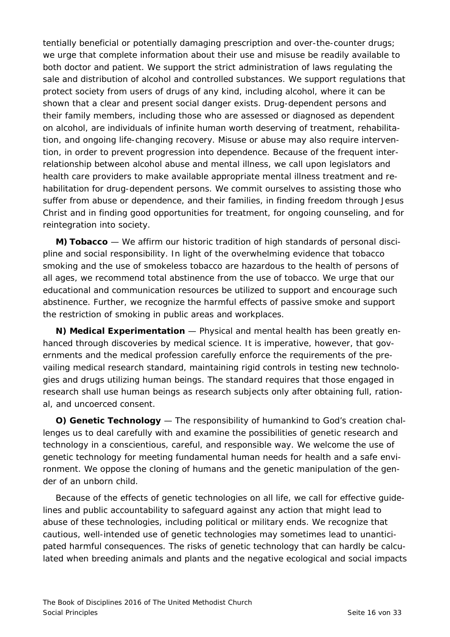tentially beneficial or potentially damaging prescription and over-the-counter drugs; we urge that complete information about their use and misuse be readily available to both doctor and patient. We support the strict administration of laws regulating the sale and distribution of alcohol and controlled substances. We support regulations that protect society from users of drugs of any kind, including alcohol, where it can be shown that a clear and present social danger exists. Drug-dependent persons and their family members, including those who are assessed or diagnosed as dependent on alcohol, are individuals of infinite human worth deserving of treatment, rehabilitation, and ongoing life-changing recovery. Misuse or abuse may also require intervention, in order to prevent progression into dependence. Because of the frequent interrelationship between alcohol abuse and mental illness, we call upon legislators and health care providers to make available appropriate mental illness treatment and rehabilitation for drug-dependent persons. We commit ourselves to assisting those who suffer from abuse or dependence, and their families, in finding freedom through Jesus Christ and in finding good opportunities for treatment, for ongoing counseling, and for reintegration into society.

*M) Tobacco* — We affirm our historic tradition of high standards of personal discipline and social responsibility. In light of the overwhelming evidence that tobacco smoking and the use of smokeless tobacco are hazardous to the health of persons of all ages, we recommend total abstinence from the use of tobacco. We urge that our educational and communication resources be utilized to support and encourage such abstinence. Further, we recognize the harmful effects of passive smoke and support the restriction of smoking in public areas and workplaces.

*N) Medical Experimentation* — Physical and mental health has been greatly enhanced through discoveries by medical science. It is imperative, however, that governments and the medical profession carefully enforce the requirements of the prevailing medical research standard, maintaining rigid controls in testing new technologies and drugs utilizing human beings. The standard requires that those engaged in research shall use human beings as research subjects only after obtaining full, rational, and uncoerced consent.

*O) Genetic Technology* — The responsibility of humankind to God's creation challenges us to deal carefully with and examine the possibilities of genetic research and technology in a conscientious, careful, and responsible way. We welcome the use of genetic technology for meeting fundamental human needs for health and a safe environment. We oppose the cloning of humans and the genetic manipulation of the gender of an unborn child.

Because of the effects of genetic technologies on all life, we call for effective guidelines and public accountability to safeguard against any action that might lead to abuse of these technologies, including political or military ends. We recognize that cautious, well-intended use of genetic technologies may sometimes lead to unanticipated harmful consequences. The risks of genetic technology that can hardly be calculated when breeding animals and plants and the negative ecological and social impacts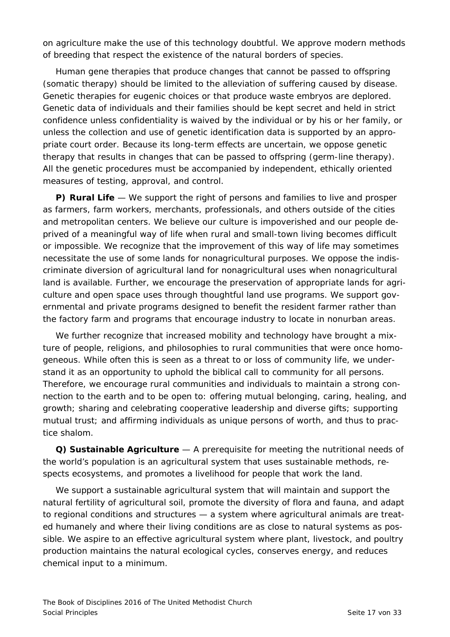on agriculture make the use of this technology doubtful. We approve modern methods of breeding that respect the existence of the natural borders of species.

Human gene therapies that produce changes that cannot be passed to offspring (somatic therapy) should be limited to the alleviation of suffering caused by disease. Genetic therapies for eugenic choices or that produce waste embryos are deplored. Genetic data of individuals and their families should be kept secret and held in strict confidence unless confidentiality is waived by the individual or by his or her family, or unless the collection and use of genetic identification data is supported by an appropriate court order. Because its long-term effects are uncertain, we oppose genetic therapy that results in changes that can be passed to offspring (germ-line therapy). All the genetic procedures must be accompanied by independent, ethically oriented measures of testing, approval, and control.

**P) Rural Life** — We support the right of persons and families to live and prosper as farmers, farm workers, merchants, professionals, and others outside of the cities and metropolitan centers. We believe our culture is impoverished and our people deprived of a meaningful way of life when rural and small-town living becomes difficult or impossible. We recognize that the improvement of this way of life may sometimes necessitate the use of some lands for nonagricultural purposes. We oppose the indiscriminate diversion of agricultural land for nonagricultural uses when nonagricultural land is available. Further, we encourage the preservation of appropriate lands for agriculture and open space uses through thoughtful land use programs. We support governmental and private programs designed to benefit the resident farmer rather than the factory farm and programs that encourage industry to locate in nonurban areas.

We further recognize that increased mobility and technology have brought a mixture of people, religions, and philosophies to rural communities that were once homogeneous. While often this is seen as a threat to or loss of community life, we understand it as an opportunity to uphold the biblical call to community for all persons. Therefore, we encourage rural communities and individuals to maintain a strong connection to the earth and to be open to: offering mutual belonging, caring, healing, and growth; sharing and celebrating cooperative leadership and diverse gifts; supporting mutual trust; and affirming individuals as unique persons of worth, and thus to practice shalom.

**Q) Sustainable Agriculture** – A prerequisite for meeting the nutritional needs of the world's population is an agricultural system that uses sustainable methods, respects ecosystems, and promotes a livelihood for people that work the land.

We support a sustainable agricultural system that will maintain and support the natural fertility of agricultural soil, promote the diversity of flora and fauna, and adapt to regional conditions and structures — a system where agricultural animals are treated humanely and where their living conditions are as close to natural systems as possible. We aspire to an effective agricultural system where plant, livestock, and poultry production maintains the natural ecological cycles, conserves energy, and reduces chemical input to a minimum.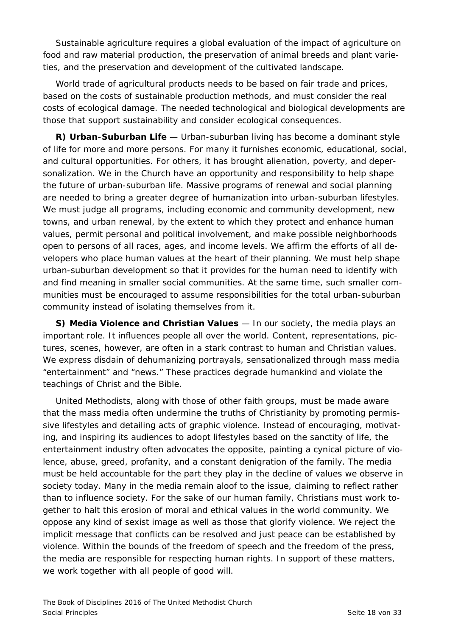Sustainable agriculture requires a global evaluation of the impact of agriculture on food and raw material production, the preservation of animal breeds and plant varieties, and the preservation and development of the cultivated landscape.

World trade of agricultural products needs to be based on fair trade and prices, based on the costs of sustainable production methods, and must consider the real costs of ecological damage. The needed technological and biological developments are those that support sustainability and consider ecological consequences.

**R) Urban-Suburban Life** — Urban-suburban living has become a dominant style of life for more and more persons. For many it furnishes economic, educational, social, and cultural opportunities. For others, it has brought alienation, poverty, and depersonalization. We in the Church have an opportunity and responsibility to help shape the future of urban-suburban life. Massive programs of renewal and social planning are needed to bring a greater degree of humanization into urban-suburban lifestyles. We must judge all programs, including economic and community development, new towns, and urban renewal, by the extent to which they protect and enhance human values, permit personal and political involvement, and make possible neighborhoods open to persons of all races, ages, and income levels. We affirm the efforts of all developers who place human values at the heart of their planning. We must help shape urban-suburban development so that it provides for the human need to identify with and find meaning in smaller social communities. At the same time, such smaller communities must be encouraged to assume responsibilities for the total urban-suburban community instead of isolating themselves from it.

*S) Media Violence and Christian Values* — In our society, the media plays an important role. It influences people all over the world. Content, representations, pictures, scenes, however, are often in a stark contrast to human and Christian values. We express disdain of dehumanizing portrayals, sensationalized through mass media "entertainment" and "news." These practices degrade humankind and violate the teachings of Christ and the Bible.

United Methodists, along with those of other faith groups, must be made aware that the mass media often undermine the truths of Christianity by promoting permissive lifestyles and detailing acts of graphic violence. Instead of encouraging, motivating, and inspiring its audiences to adopt lifestyles based on the sanctity of life, the entertainment industry often advocates the opposite, painting a cynical picture of violence, abuse, greed, profanity, and a constant denigration of the family. The media must be held accountable for the part they play in the decline of values we observe in society today. Many in the media remain aloof to the issue, claiming to reflect rather than to influence society. For the sake of our human family, Christians must work together to halt this erosion of moral and ethical values in the world community. We oppose any kind of sexist image as well as those that glorify violence. We reject the implicit message that conflicts can be resolved and just peace can be established by violence. Within the bounds of the freedom of speech and the freedom of the press, the media are responsible for respecting human rights. In support of these matters, we work together with all people of good will.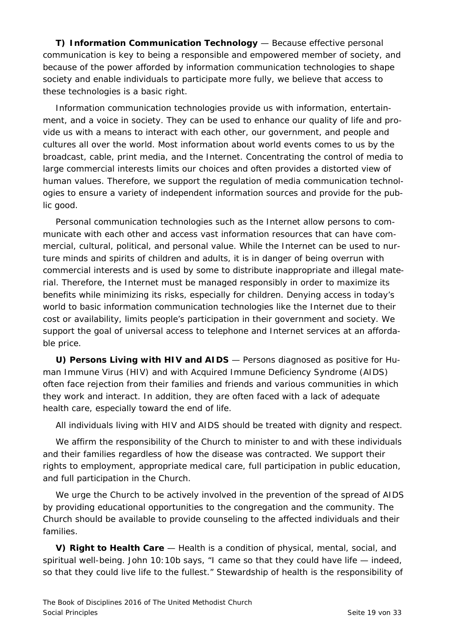*T) Information Communication Technology* — Because effective personal communication is key to being a responsible and empowered member of society, and because of the power afforded by information communication technologies to shape society and enable individuals to participate more fully, we believe that access to these technologies is a basic right.

Information communication technologies provide us with information, entertainment, and a voice in society. They can be used to enhance our quality of life and provide us with a means to interact with each other, our government, and people and cultures all over the world. Most information about world events comes to us by the broadcast, cable, print media, and the Internet. Concentrating the control of media to large commercial interests limits our choices and often provides a distorted view of human values. Therefore, we support the regulation of media communication technologies to ensure a variety of independent information sources and provide for the public good.

Personal communication technologies such as the Internet allow persons to communicate with each other and access vast information resources that can have commercial, cultural, political, and personal value. While the Internet can be used to nurture minds and spirits of children and adults, it is in danger of being overrun with commercial interests and is used by some to distribute inappropriate and illegal material. Therefore, the Internet must be managed responsibly in order to maximize its benefits while minimizing its risks, especially for children. Denying access in today's world to basic information communication technologies like the Internet due to their cost or availability, limits people's participation in their government and society. We support the goal of universal access to telephone and Internet services at an affordable price.

*U) Persons Living with HIV and AIDS* — Persons diagnosed as positive for Human Immune Virus (HIV) and with Acquired Immune Deficiency Syndrome (AIDS) often face rejection from their families and friends and various communities in which they work and interact. In addition, they are often faced with a lack of adequate health care, especially toward the end of life.

All individuals living with HIV and AIDS should be treated with dignity and respect.

We affirm the responsibility of the Church to minister to and with these individuals and their families regardless of how the disease was contracted. We support their rights to employment, appropriate medical care, full participation in public education, and full participation in the Church.

We urge the Church to be actively involved in the prevention of the spread of AIDS by providing educational opportunities to the congregation and the community. The Church should be available to provide counseling to the affected individuals and their families.

*V) Right to Health Care* — Health is a condition of physical, mental, social, and spiritual well-being. John 10:10b says, "I came so that they could have life — indeed, so that they could live life to the fullest." Stewardship of health is the responsibility of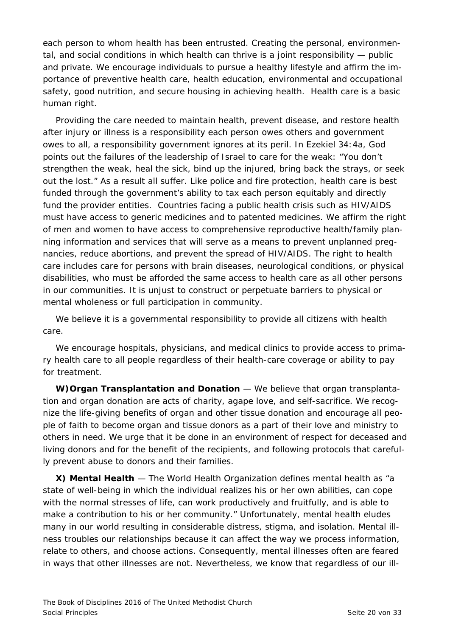each person to whom health has been entrusted. Creating the personal, environmental, and social conditions in which health can thrive is a joint responsibility — public and private. We encourage individuals to pursue a healthy lifestyle and affirm the importance of preventive health care, health education, environmental and occupational safety, good nutrition, and secure housing in achieving health. Health care is a basic human right.

Providing the care needed to maintain health, prevent disease, and restore health after injury or illness is a responsibility each person owes others and government owes to all, a responsibility government ignores at its peril. In Ezekiel 34:4a, God points out the failures of the leadership of Israel to care for the weak: "You don't strengthen the weak, heal the sick, bind up the injured, bring back the strays, or seek out the lost." As a result all suffer. Like police and fire protection, health care is best funded through the government's ability to tax each person equitably and directly fund the provider entities. Countries facing a public health crisis such as HIV/AIDS must have access to generic medicines and to patented medicines. We affirm the right of men and women to have access to comprehensive reproductive health/family planning information and services that will serve as a means to prevent unplanned pregnancies, reduce abortions, and prevent the spread of HIV/AIDS. The right to health care includes care for persons with brain diseases, neurological conditions, or physical disabilities, who must be afforded the same access to health care as all other persons in our communities. It is unjust to construct or perpetuate barriers to physical or mental wholeness or full participation in community.

We believe it is a governmental responsibility to provide all citizens with health care.

We encourage hospitals, physicians, and medical clinics to provide access to primary health care to all people regardless of their health-care coverage or ability to pay for treatment.

*W) Organ Transplantation and Donation* — We believe that organ transplantation and organ donation are acts of charity, agape love, and self-sacrifice. We recognize the life-giving benefits of organ and other tissue donation and encourage all people of faith to become organ and tissue donors as a part of their love and ministry to others in need. We urge that it be done in an environment of respect for deceased and living donors and for the benefit of the recipients, and following protocols that carefully prevent abuse to donors and their families.

*X) Mental Health* — The World Health Organization defines mental health as "a state of well-being in which the individual realizes his or her own abilities, can cope with the normal stresses of life, can work productively and fruitfully, and is able to make a contribution to his or her community." Unfortunately, mental health eludes many in our world resulting in considerable distress, stigma, and isolation. Mental illness troubles our relationships because it can affect the way we process information, relate to others, and choose actions. Consequently, mental illnesses often are feared in ways that other illnesses are not. Nevertheless, we know that regardless of our ill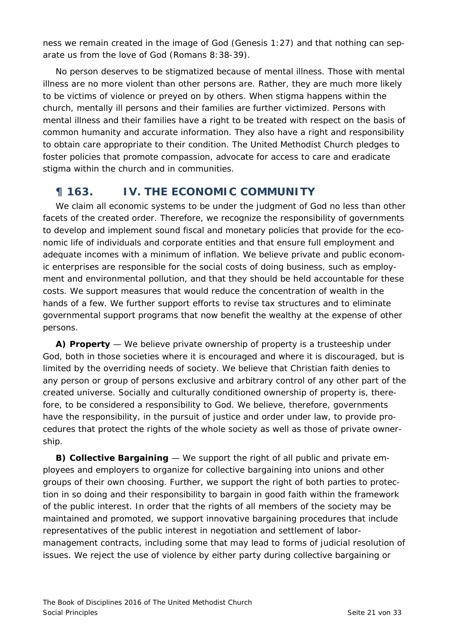ness we remain created in the image of God (Genesis 1:27) and that nothing can separate us from the love of God (Romans 8:38-39).

No person deserves to be stigmatized because of mental illness. Those with mental illness are no more violent than other persons are. Rather, they are much more likely to be victims of violence or preyed on by others. When stigma happens within the church, mentally ill persons and their families are further victimized. Persons with mental illness and their families have a right to be treated with respect on the basis of common humanity and accurate information. They also have a right and responsibility to obtain care appropriate to their condition. The United Methodist Church pledges to foster policies that promote compassion, advocate for access to care and eradicate stigma within the church and in communities.

#### **¶ 163. IV. THE ECONOMIC COMMUNITY**

We claim all economic systems to be under the judgment of God no less than other facets of the created order. Therefore, we recognize the responsibility of governments to develop and implement sound fiscal and monetary policies that provide for the economic life of individuals and corporate entities and that ensure full employment and adequate incomes with a minimum of inflation. We believe private and public economic enterprises are responsible for the social costs of doing business, such as employment and environmental pollution, and that they should be held accountable for these costs. We support measures that would reduce the concentration of wealth in the hands of a few. We further support efforts to revise tax structures and to eliminate governmental support programs that now benefit the wealthy at the expense of other persons.

*A) Property* — We believe private ownership of property is a trusteeship under God, both in those societies where it is encouraged and where it is discouraged, but is limited by the overriding needs of society. We believe that Christian faith denies to any person or group of persons exclusive and arbitrary control of any other part of the created universe. Socially and culturally conditioned ownership of property is, therefore, to be considered a responsibility to God. We believe, therefore, governments have the responsibility, in the pursuit of justice and order under law, to provide procedures that protect the rights of the whole society as well as those of private ownership.

**B) Collective Bargaining** — We support the right of all public and private employees and employers to organize for collective bargaining into unions and other groups of their own choosing. Further, we support the right of both parties to protection in so doing and their responsibility to bargain in good faith within the framework of the public interest. In order that the rights of all members of the society may be maintained and promoted, we support innovative bargaining procedures that include representatives of the public interest in negotiation and settlement of labormanagement contracts, including some that may lead to forms of judicial resolution of issues. We reject the use of violence by either party during collective bargaining or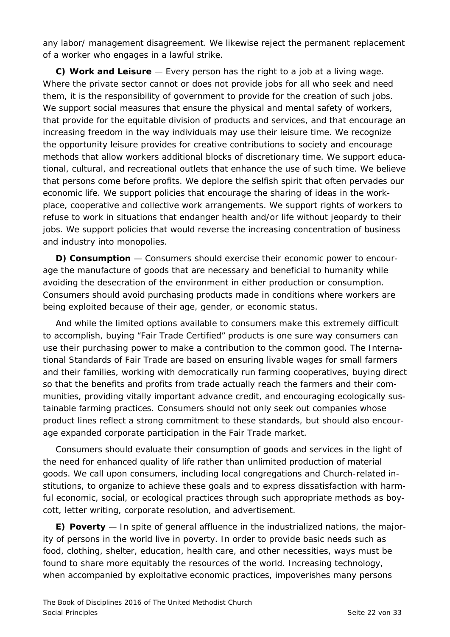any labor/ management disagreement. We likewise reject the permanent replacement of a worker who engages in a lawful strike.

*C) Work and Leisure* — Every person has the right to a job at a living wage. Where the private sector cannot or does not provide jobs for all who seek and need them, it is the responsibility of government to provide for the creation of such jobs. We support social measures that ensure the physical and mental safety of workers, that provide for the equitable division of products and services, and that encourage an increasing freedom in the way individuals may use their leisure time. We recognize the opportunity leisure provides for creative contributions to society and encourage methods that allow workers additional blocks of discretionary time. We support educational, cultural, and recreational outlets that enhance the use of such time. We believe that persons come before profits. We deplore the selfish spirit that often pervades our economic life. We support policies that encourage the sharing of ideas in the workplace, cooperative and collective work arrangements. We support rights of workers to refuse to work in situations that endanger health and/or life without jeopardy to their jobs. We support policies that would reverse the increasing concentration of business and industry into monopolies.

*D) Consumption* — Consumers should exercise their economic power to encourage the manufacture of goods that are necessary and beneficial to humanity while avoiding the desecration of the environment in either production or consumption. Consumers should avoid purchasing products made in conditions where workers are being exploited because of their age, gender, or economic status.

And while the limited options available to consumers make this extremely difficult to accomplish, buying "Fair Trade Certified" products is one sure way consumers can use their purchasing power to make a contribution to the common good. The International Standards of Fair Trade are based on ensuring livable wages for small farmers and their families, working with democratically run farming cooperatives, buying direct so that the benefits and profits from trade actually reach the farmers and their communities, providing vitally important advance credit, and encouraging ecologically sustainable farming practices. Consumers should not only seek out companies whose product lines reflect a strong commitment to these standards, but should also encourage expanded corporate participation in the Fair Trade market.

Consumers should evaluate their consumption of goods and services in the light of the need for enhanced quality of life rather than unlimited production of material goods. We call upon consumers, including local congregations and Church-related institutions, to organize to achieve these goals and to express dissatisfaction with harmful economic, social, or ecological practices through such appropriate methods as boycott, letter writing, corporate resolution, and advertisement.

*E) Poverty* — In spite of general affluence in the industrialized nations, the majority of persons in the world live in poverty. In order to provide basic needs such as food, clothing, shelter, education, health care, and other necessities, ways must be found to share more equitably the resources of the world. Increasing technology, when accompanied by exploitative economic practices, impoverishes many persons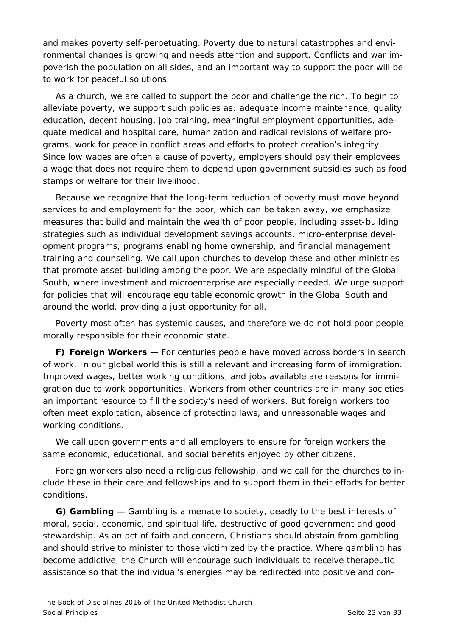and makes poverty self-perpetuating. Poverty due to natural catastrophes and environmental changes is growing and needs attention and support. Conflicts and war impoverish the population on all sides, and an important way to support the poor will be to work for peaceful solutions.

As a church, we are called to support the poor and challenge the rich. To begin to alleviate poverty, we support such policies as: adequate income maintenance, quality education, decent housing, job training, meaningful employment opportunities, adequate medical and hospital care, humanization and radical revisions of welfare programs, work for peace in conflict areas and efforts to protect creation's integrity. Since low wages are often a cause of poverty, employers should pay their employees a wage that does not require them to depend upon government subsidies such as food stamps or welfare for their livelihood.

Because we recognize that the long-term reduction of poverty must move beyond services to and employment for the poor, which can be taken away, we emphasize measures that build and maintain the wealth of poor people, including asset-building strategies such as individual development savings accounts, micro-enterprise development programs, programs enabling home ownership, and financial management training and counseling. We call upon churches to develop these and other ministries that promote asset-building among the poor. We are especially mindful of the Global South, where investment and microenterprise are especially needed. We urge support for policies that will encourage equitable economic growth in the Global South and around the world, providing a just opportunity for all.

Poverty most often has systemic causes, and therefore we do not hold poor people morally responsible for their economic state.

*F) Foreign Workers* — For centuries people have moved across borders in search of work. In our global world this is still a relevant and increasing form of immigration. Improved wages, better working conditions, and jobs available are reasons for immigration due to work opportunities. Workers from other countries are in many societies an important resource to fill the society's need of workers. But foreign workers too often meet exploitation, absence of protecting laws, and unreasonable wages and working conditions.

We call upon governments and all employers to ensure for foreign workers the same economic, educational, and social benefits enjoyed by other citizens.

Foreign workers also need a religious fellowship, and we call for the churches to include these in their care and fellowships and to support them in their efforts for better conditions.

*G) Gambling* — Gambling is a menace to society, deadly to the best interests of moral, social, economic, and spiritual life, destructive of good government and good stewardship. As an act of faith and concern, Christians should abstain from gambling and should strive to minister to those victimized by the practice. Where gambling has become addictive, the Church will encourage such individuals to receive therapeutic assistance so that the individual's energies may be redirected into positive and con-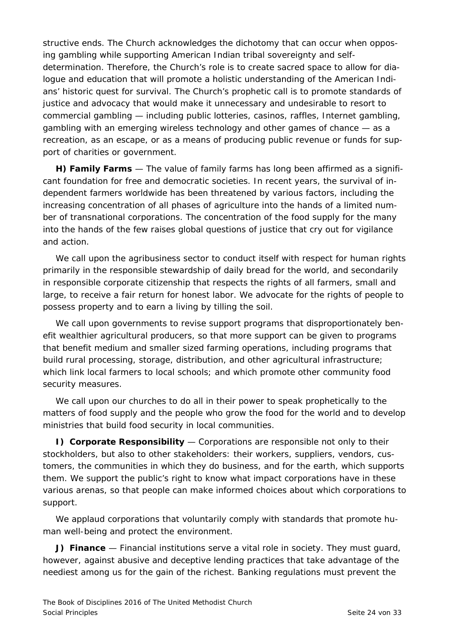structive ends. The Church acknowledges the dichotomy that can occur when opposing gambling while supporting American Indian tribal sovereignty and selfdetermination. Therefore, the Church's role is to create sacred space to allow for dialogue and education that will promote a holistic understanding of the American Indians' historic quest for survival. The Church's prophetic call is to promote standards of justice and advocacy that would make it unnecessary and undesirable to resort to commercial gambling — including public lotteries, casinos, raffles, Internet gambling, gambling with an emerging wireless technology and other games of chance — as a recreation, as an escape, or as a means of producing public revenue or funds for support of charities or government.

*H) Family Farms* — The value of family farms has long been affirmed as a significant foundation for free and democratic societies. In recent years, the survival of independent farmers worldwide has been threatened by various factors, including the increasing concentration of all phases of agriculture into the hands of a limited number of transnational corporations. The concentration of the food supply for the many into the hands of the few raises global questions of justice that cry out for vigilance and action.

We call upon the agribusiness sector to conduct itself with respect for human rights primarily in the responsible stewardship of daily bread for the world, and secondarily in responsible corporate citizenship that respects the rights of all farmers, small and large, to receive a fair return for honest labor. We advocate for the rights of people to possess property and to earn a living by tilling the soil.

We call upon governments to revise support programs that disproportionately benefit wealthier agricultural producers, so that more support can be given to programs that benefit medium and smaller sized farming operations, including programs that build rural processing, storage, distribution, and other agricultural infrastructure; which link local farmers to local schools; and which promote other community food security measures.

We call upon our churches to do all in their power to speak prophetically to the matters of food supply and the people who grow the food for the world and to develop ministries that build food security in local communities.

*I) Corporate Responsibility* — Corporations are responsible not only to their stockholders, but also to other stakeholders: their workers, suppliers, vendors, customers, the communities in which they do business, and for the earth, which supports them. We support the public's right to know what impact corporations have in these various arenas, so that people can make informed choices about which corporations to support.

We applaud corporations that voluntarily comply with standards that promote human well-being and protect the environment.

*J) Finance* — Financial institutions serve a vital role in society. They must guard, however, against abusive and deceptive lending practices that take advantage of the neediest among us for the gain of the richest. Banking regulations must prevent the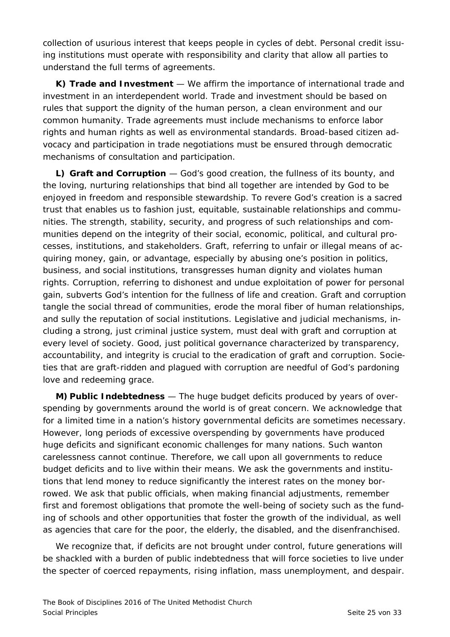collection of usurious interest that keeps people in cycles of debt. Personal credit issuing institutions must operate with responsibility and clarity that allow all parties to understand the full terms of agreements.

*K) Trade and Investment* — We affirm the importance of international trade and investment in an interdependent world. Trade and investment should be based on rules that support the dignity of the human person, a clean environment and our common humanity. Trade agreements must include mechanisms to enforce labor rights and human rights as well as environmental standards. Broad-based citizen advocacy and participation in trade negotiations must be ensured through democratic mechanisms of consultation and participation.

*L) Graft and Corruption* — God's good creation, the fullness of its bounty, and the loving, nurturing relationships that bind all together are intended by God to be enjoyed in freedom and responsible stewardship. To revere God's creation is a sacred trust that enables us to fashion just, equitable, sustainable relationships and communities. The strength, stability, security, and progress of such relationships and communities depend on the integrity of their social, economic, political, and cultural processes, institutions, and stakeholders. Graft, referring to unfair or illegal means of acquiring money, gain, or advantage, especially by abusing one's position in politics, business, and social institutions, transgresses human dignity and violates human rights. Corruption, referring to dishonest and undue exploitation of power for personal gain, subverts God's intention for the fullness of life and creation. Graft and corruption tangle the social thread of communities, erode the moral fiber of human relationships, and sully the reputation of social institutions. Legislative and judicial mechanisms, including a strong, just criminal justice system, must deal with graft and corruption at every level of society. Good, just political governance characterized by transparency, accountability, and integrity is crucial to the eradication of graft and corruption. Societies that are graft-ridden and plagued with corruption are needful of God's pardoning love and redeeming grace.

*M) Public Indebtedness* — The huge budget deficits produced by years of overspending by governments around the world is of great concern. We acknowledge that for a limited time in a nation's history governmental deficits are sometimes necessary. However, long periods of excessive overspending by governments have produced huge deficits and significant economic challenges for many nations. Such wanton carelessness cannot continue. Therefore, we call upon all governments to reduce budget deficits and to live within their means. We ask the governments and institutions that lend money to reduce significantly the interest rates on the money borrowed. We ask that public officials, when making financial adjustments, remember first and foremost obligations that promote the well-being of society such as the funding of schools and other opportunities that foster the growth of the individual, as well as agencies that care for the poor, the elderly, the disabled, and the disenfranchised.

We recognize that, if deficits are not brought under control, future generations will be shackled with a burden of public indebtedness that will force societies to live under the specter of coerced repayments, rising inflation, mass unemployment, and despair.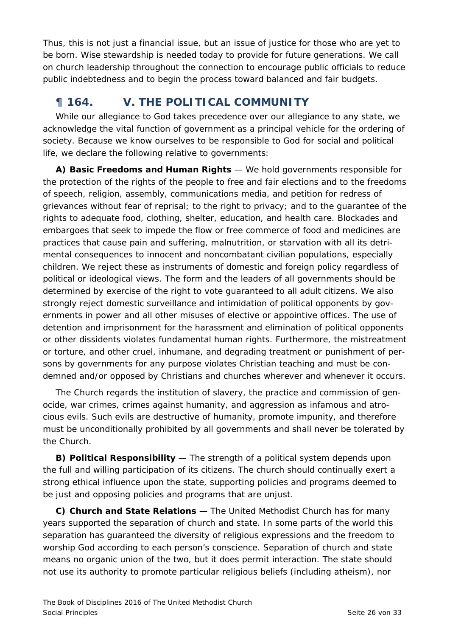Thus, this is not just a financial issue, but an issue of justice for those who are yet to be born. Wise stewardship is needed today to provide for future generations. We call on church leadership throughout the connection to encourage public officials to reduce public indebtedness and to begin the process toward balanced and fair budgets.

## **¶ 164. V. THE POLITICAL COMMUNITY**

While our allegiance to God takes precedence over our allegiance to any state, we acknowledge the vital function of government as a principal vehicle for the ordering of society. Because we know ourselves to be responsible to God for social and political life, we declare the following relative to governments:

*A) Basic Freedoms and Human Rights* — We hold governments responsible for the protection of the rights of the people to free and fair elections and to the freedoms of speech, religion, assembly, communications media, and petition for redress of grievances without fear of reprisal; to the right to privacy; and to the guarantee of the rights to adequate food, clothing, shelter, education, and health care. Blockades and embargoes that seek to impede the flow or free commerce of food and medicines are practices that cause pain and suffering, malnutrition, or starvation with all its detrimental consequences to innocent and noncombatant civilian populations, especially children. We reject these as instruments of domestic and foreign policy regardless of political or ideological views. The form and the leaders of all governments should be determined by exercise of the right to vote guaranteed to all adult citizens. We also strongly reject domestic surveillance and intimidation of political opponents by governments in power and all other misuses of elective or appointive offices. The use of detention and imprisonment for the harassment and elimination of political opponents or other dissidents violates fundamental human rights. Furthermore, the mistreatment or torture, and other cruel, inhumane, and degrading treatment or punishment of persons by governments for any purpose violates Christian teaching and must be condemned and/or opposed by Christians and churches wherever and whenever it occurs.

The Church regards the institution of slavery, the practice and commission of genocide, war crimes, crimes against humanity, and aggression as infamous and atrocious evils. Such evils are destructive of humanity, promote impunity, and therefore must be unconditionally prohibited by all governments and shall never be tolerated by the Church.

*B) Political Responsibility* — The strength of a political system depends upon the full and willing participation of its citizens. The church should continually exert a strong ethical influence upon the state, supporting policies and programs deemed to be just and opposing policies and programs that are unjust.

*C) Church and State Relations* — The United Methodist Church has for many years supported the separation of church and state. In some parts of the world this separation has guaranteed the diversity of religious expressions and the freedom to worship God according to each person's conscience. Separation of church and state means no organic union of the two, but it does permit interaction. The state should not use its authority to promote particular religious beliefs (including atheism), nor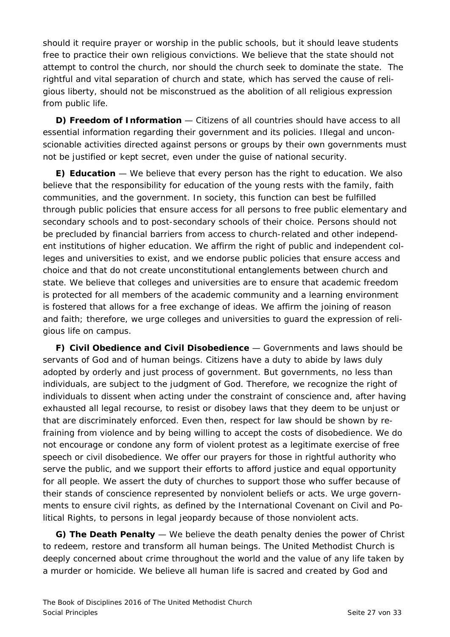should it require prayer or worship in the public schools, but it should leave students free to practice their own religious convictions. We believe that the state should not attempt to control the church, nor should the church seek to dominate the state. The rightful and vital separation of church and state, which has served the cause of religious liberty, should not be misconstrued as the abolition of all religious expression from public life.

*D) Freedom of Information* — Citizens of all countries should have access to all essential information regarding their government and its policies. Illegal and unconscionable activities directed against persons or groups by their own governments must not be justified or kept secret, even under the guise of national security.

*E) Education* — We believe that every person has the right to education. We also believe that the responsibility for education of the young rests with the family, faith communities, and the government. In society, this function can best be fulfilled through public policies that ensure access for all persons to free public elementary and secondary schools and to post-secondary schools of their choice. Persons should not be precluded by financial barriers from access to church-related and other independent institutions of higher education. We affirm the right of public and independent colleges and universities to exist, and we endorse public policies that ensure access and choice and that do not create unconstitutional entanglements between church and state. We believe that colleges and universities are to ensure that academic freedom is protected for all members of the academic community and a learning environment is fostered that allows for a free exchange of ideas. We affirm the joining of reason and faith; therefore, we urge colleges and universities to guard the expression of religious life on campus.

*F) Civil Obedience and Civil Disobedience* — Governments and laws should be servants of God and of human beings. Citizens have a duty to abide by laws duly adopted by orderly and just process of government. But governments, no less than individuals, are subject to the judgment of God. Therefore, we recognize the right of individuals to dissent when acting under the constraint of conscience and, after having exhausted all legal recourse, to resist or disobey laws that they deem to be unjust or that are discriminately enforced. Even then, respect for law should be shown by refraining from violence and by being willing to accept the costs of disobedience. We do not encourage or condone any form of violent protest as a legitimate exercise of free speech or civil disobedience. We offer our prayers for those in rightful authority who serve the public, and we support their efforts to afford justice and equal opportunity for all people. We assert the duty of churches to support those who suffer because of their stands of conscience represented by nonviolent beliefs or acts. We urge governments to ensure civil rights, as defined by the International Covenant on Civil and Political Rights, to persons in legal jeopardy because of those nonviolent acts.

*G) The Death Penalty* — We believe the death penalty denies the power of Christ to redeem, restore and transform all human beings. The United Methodist Church is deeply concerned about crime throughout the world and the value of any life taken by a murder or homicide. We believe all human life is sacred and created by God and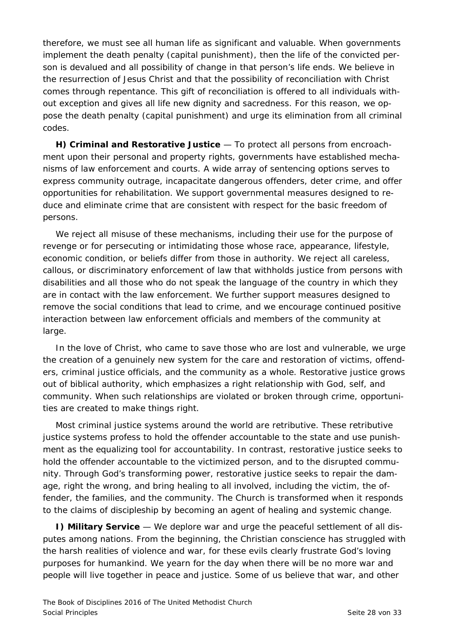therefore, we must see all human life as significant and valuable. When governments implement the death penalty (capital punishment), then the life of the convicted person is devalued and all possibility of change in that person's life ends. We believe in the resurrection of Jesus Christ and that the possibility of reconciliation with Christ comes through repentance. This gift of reconciliation is offered to all individuals without exception and gives all life new dignity and sacredness. For this reason, we oppose the death penalty (capital punishment) and urge its elimination from all criminal codes.

*H) Criminal and Restorative Justice* — To protect all persons from encroachment upon their personal and property rights, governments have established mechanisms of law enforcement and courts. A wide array of sentencing options serves to express community outrage, incapacitate dangerous offenders, deter crime, and offer opportunities for rehabilitation. We support governmental measures designed to reduce and eliminate crime that are consistent with respect for the basic freedom of persons.

We reject all misuse of these mechanisms, including their use for the purpose of revenge or for persecuting or intimidating those whose race, appearance, lifestyle, economic condition, or beliefs differ from those in authority. We reject all careless, callous, or discriminatory enforcement of law that withholds justice from persons with disabilities and all those who do not speak the language of the country in which they are in contact with the law enforcement. We further support measures designed to remove the social conditions that lead to crime, and we encourage continued positive interaction between law enforcement officials and members of the community at large.

In the love of Christ, who came to save those who are lost and vulnerable, we urge the creation of a genuinely new system for the care and restoration of victims, offenders, criminal justice officials, and the community as a whole. Restorative justice grows out of biblical authority, which emphasizes a right relationship with God, self, and community. When such relationships are violated or broken through crime, opportunities are created to make things right.

Most criminal justice systems around the world are retributive. These retributive justice systems profess to hold the offender accountable to the state and use punishment as the equalizing tool for accountability. In contrast, restorative justice seeks to hold the offender accountable to the victimized person, and to the disrupted community. Through God's transforming power, restorative justice seeks to repair the damage, right the wrong, and bring healing to all involved, including the victim, the offender, the families, and the community. The Church is transformed when it responds to the claims of discipleship by becoming an agent of healing and systemic change.

*I) Military Service* — We deplore war and urge the peaceful settlement of all disputes among nations. From the beginning, the Christian conscience has struggled with the harsh realities of violence and war, for these evils clearly frustrate God's loving purposes for humankind. We yearn for the day when there will be no more war and people will live together in peace and justice. Some of us believe that war, and other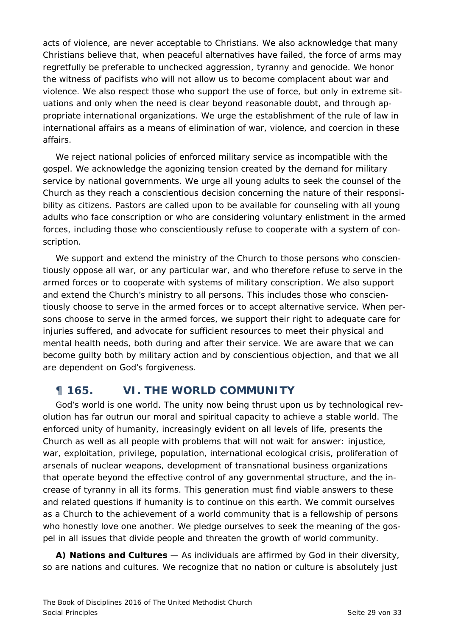acts of violence, are never acceptable to Christians. We also acknowledge that many Christians believe that, when peaceful alternatives have failed, the force of arms may regretfully be preferable to unchecked aggression, tyranny and genocide. We honor the witness of pacifists who will not allow us to become complacent about war and violence. We also respect those who support the use of force, but only in extreme situations and only when the need is clear beyond reasonable doubt, and through appropriate international organizations. We urge the establishment of the rule of law in international affairs as a means of elimination of war, violence, and coercion in these affairs.

We reject national policies of enforced military service as incompatible with the gospel. We acknowledge the agonizing tension created by the demand for military service by national governments. We urge all young adults to seek the counsel of the Church as they reach a conscientious decision concerning the nature of their responsibility as citizens. Pastors are called upon to be available for counseling with all young adults who face conscription or who are considering voluntary enlistment in the armed forces, including those who conscientiously refuse to cooperate with a system of conscription.

We support and extend the ministry of the Church to those persons who conscientiously oppose all war, or any particular war, and who therefore refuse to serve in the armed forces or to cooperate with systems of military conscription. We also support and extend the Church's ministry to all persons. This includes those who conscientiously choose to serve in the armed forces or to accept alternative service. When persons choose to serve in the armed forces, we support their right to adequate care for injuries suffered, and advocate for sufficient resources to meet their physical and mental health needs, both during and after their service. We are aware that we can become guilty both by military action and by conscientious objection, and that we all are dependent on God's forgiveness.

#### **¶ 165. VI. THE WORLD COMMUNITY**

God's world is one world. The unity now being thrust upon us by technological revolution has far outrun our moral and spiritual capacity to achieve a stable world. The enforced unity of humanity, increasingly evident on all levels of life, presents the Church as well as all people with problems that will not wait for answer: injustice, war, exploitation, privilege, population, international ecological crisis, proliferation of arsenals of nuclear weapons, development of transnational business organizations that operate beyond the effective control of any governmental structure, and the increase of tyranny in all its forms. This generation must find viable answers to these and related questions if humanity is to continue on this earth. We commit ourselves as a Church to the achievement of a world community that is a fellowship of persons who honestly love one another. We pledge ourselves to seek the meaning of the gospel in all issues that divide people and threaten the growth of world community.

*A) Nations and Cultures* — As individuals are affirmed by God in their diversity, so are nations and cultures. We recognize that no nation or culture is absolutely just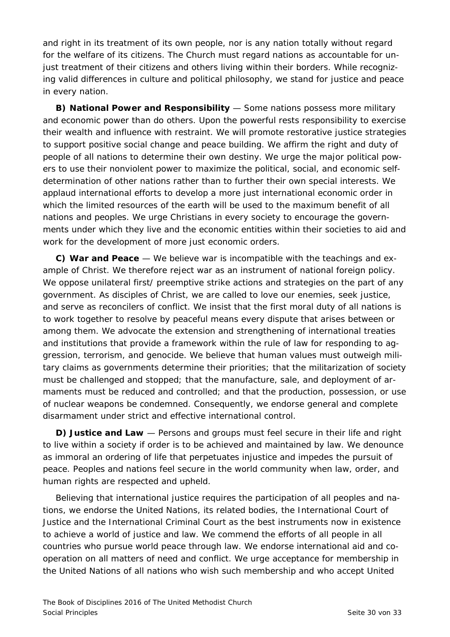and right in its treatment of its own people, nor is any nation totally without regard for the welfare of its citizens. The Church must regard nations as accountable for unjust treatment of their citizens and others living within their borders. While recognizing valid differences in culture and political philosophy, we stand for justice and peace in every nation.

*B) National Power and Responsibility – Some nations possess more military* and economic power than do others. Upon the powerful rests responsibility to exercise their wealth and influence with restraint. We will promote restorative justice strategies to support positive social change and peace building. We affirm the right and duty of people of all nations to determine their own destiny. We urge the major political powers to use their nonviolent power to maximize the political, social, and economic selfdetermination of other nations rather than to further their own special interests. We applaud international efforts to develop a more just international economic order in which the limited resources of the earth will be used to the maximum benefit of all nations and peoples. We urge Christians in every society to encourage the governments under which they live and the economic entities within their societies to aid and work for the development of more just economic orders.

*C) War and Peace* — We believe war is incompatible with the teachings and example of Christ. We therefore reject war as an instrument of national foreign policy. We oppose unilateral first/ preemptive strike actions and strategies on the part of any government. As disciples of Christ, we are called to love our enemies, seek justice, and serve as reconcilers of conflict. We insist that the first moral duty of all nations is to work together to resolve by peaceful means every dispute that arises between or among them. We advocate the extension and strengthening of international treaties and institutions that provide a framework within the rule of law for responding to aggression, terrorism, and genocide. We believe that human values must outweigh military claims as governments determine their priorities; that the militarization of society must be challenged and stopped; that the manufacture, sale, and deployment of armaments must be reduced and controlled; and that the production, possession, or use of nuclear weapons be condemned. Consequently, we endorse general and complete disarmament under strict and effective international control.

**D) Justice and Law** — Persons and groups must feel secure in their life and right to live within a society if order is to be achieved and maintained by law. We denounce as immoral an ordering of life that perpetuates injustice and impedes the pursuit of peace. Peoples and nations feel secure in the world community when law, order, and human rights are respected and upheld.

Believing that international justice requires the participation of all peoples and nations, we endorse the United Nations, its related bodies, the International Court of Justice and the International Criminal Court as the best instruments now in existence to achieve a world of justice and law. We commend the efforts of all people in all countries who pursue world peace through law. We endorse international aid and cooperation on all matters of need and conflict. We urge acceptance for membership in the United Nations of all nations who wish such membership and who accept United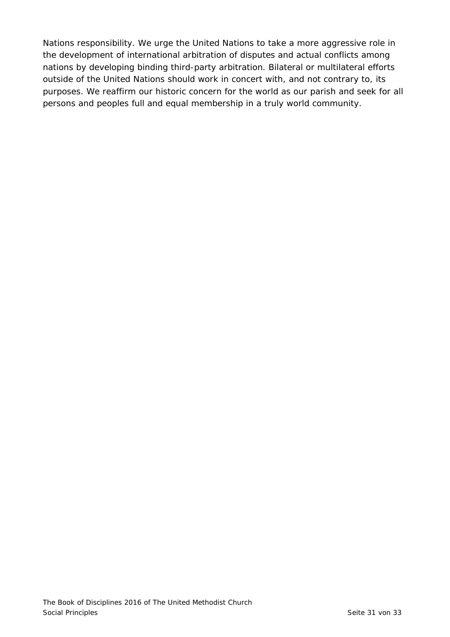Nations responsibility. We urge the United Nations to take a more aggressive role in the development of international arbitration of disputes and actual conflicts among nations by developing binding third-party arbitration. Bilateral or multilateral efforts outside of the United Nations should work in concert with, and not contrary to, its purposes. We reaffirm our historic concern for the world as our parish and seek for all persons and peoples full and equal membership in a truly world community.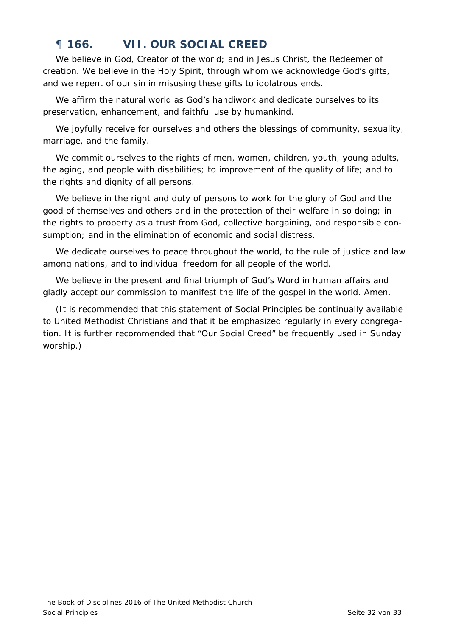## **¶ 166. VII. OUR SOCIAL CREED**

We believe in God, Creator of the world; and in Jesus Christ, the Redeemer of creation. We believe in the Holy Spirit, through whom we acknowledge God's gifts, and we repent of our sin in misusing these gifts to idolatrous ends.

We affirm the natural world as God's handiwork and dedicate ourselves to its preservation, enhancement, and faithful use by humankind.

We joyfully receive for ourselves and others the blessings of community, sexuality, marriage, and the family.

We commit ourselves to the rights of men, women, children, youth, young adults, the aging, and people with disabilities; to improvement of the quality of life; and to the rights and dignity of all persons.

We believe in the right and duty of persons to work for the glory of God and the good of themselves and others and in the protection of their welfare in so doing; in the rights to property as a trust from God, collective bargaining, and responsible consumption; and in the elimination of economic and social distress.

We dedicate ourselves to peace throughout the world, to the rule of justice and law among nations, and to individual freedom for all people of the world.

We believe in the present and final triumph of God's Word in human affairs and gladly accept our commission to manifest the life of the gospel in the world. Amen.

*(It is recommended that this statement of Social Principles be continually available to United Methodist Christians and that it be emphasized regularly in every congregation. It is further recommended that "Our Social Creed" be frequently used in Sunday worship.)*